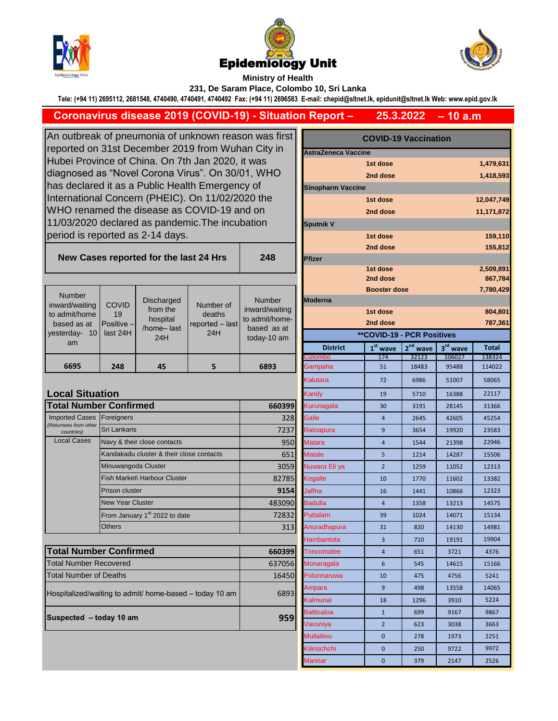





**Ministry of Health** 

**231, De Saram Place, Colombo 10, Sri Lanka**

**Tele: (+94 11) 2695112, 2681548, 4740490, 4740491, 4740492 Fax: (+94 11) 2696583 E-mail: chepid@sltnet.lk, epidunit@sltnet.lk Web: www.epid.gov.lk**

**248**

**– 10 a.m 25.3.2022 Coronavirus disease 2019 (COVID-19) - Situation Report –**

An outbreak of pneumonia of unknown reason was first reported on 31st December 2019 from Wuhan City in Hubei Province of China. On 7th Jan 2020, it was diagnosed as "Novel Corona Virus". On 30/01, WHO has declared it as a Public Health Emergency of International Concern (PHEIC). On 11/02/2020 the WHO renamed the disease as COVID-19 and on 11/03/2020 declared as pandemic.The incubation period is reported as 2-14 days.

## **New Cases reported for the last 24 Hrs**

|                                                     |                                              |                                                                |                                               |                                                                                 |                                   | 2nd dose            |            |                      | 867,7        |
|-----------------------------------------------------|----------------------------------------------|----------------------------------------------------------------|-----------------------------------------------|---------------------------------------------------------------------------------|-----------------------------------|---------------------|------------|----------------------|--------------|
| <b>Number</b>                                       | <b>COVID</b><br>19<br>Positive -<br>last 24H | <b>Discharged</b><br>from the<br>hospital<br>/home-last<br>24H | Number of<br>deaths<br>reported - last<br>24H | <b>Number</b><br>inward/waiting<br>to admit/home-<br>based as at<br>today-10 am |                                   | <b>Booster dose</b> |            |                      | 7,780,4      |
| inward/waiting                                      |                                              |                                                                |                                               |                                                                                 | Moderna                           |                     |            |                      |              |
| to admit/home<br>based as at<br>yesterday- 10<br>am |                                              |                                                                |                                               |                                                                                 |                                   | 1st dose            |            |                      | 804,8        |
|                                                     |                                              |                                                                |                                               |                                                                                 |                                   | 2nd dose            |            |                      | 787,3        |
|                                                     |                                              |                                                                |                                               |                                                                                 | <b>**COVID-19 - PCR Positives</b> |                     |            |                      |              |
|                                                     |                                              |                                                                |                                               |                                                                                 | <b>District</b>                   | $1st$ wave          | $2nd$ wave | 3 <sup>rd</sup> wave | <b>Total</b> |
|                                                     |                                              |                                                                |                                               |                                                                                 | Colombo                           | 174                 | 32123      | 106027               | 138324       |
| 6695                                                | 248                                          | 45                                                             | 5                                             | 6893                                                                            | Gampaha                           | 51                  | 18483      | 95488                | 114022       |
|                                                     |                                              |                                                                |                                               |                                                                                 | Kalutara                          | 72                  | 6986       | 51007                | 58065        |
| <b>Local Situation</b>                              |                                              |                                                                |                                               |                                                                                 | Kandy                             | 19                  | 5710       | 16388                | 22117        |
| <b>Total Number Confirmed</b>                       |                                              |                                                                |                                               | 660399                                                                          | Kurunagala                        | 30                  | 3191       | 28145                | 31366        |
| <b>Imported Cases</b>                               | Foreigners                                   |                                                                |                                               | 328                                                                             | <b>Galle</b>                      | 4                   | 2645       | 42605                | 45254        |
| (Returnees from other<br>countries)                 | Sri Lankans                                  |                                                                |                                               | 7237                                                                            | Ratnapura                         | 9                   | 3654       | 19920                | 23583        |
| <b>Local Cases</b>                                  |                                              | Navy & their close contacts                                    |                                               | 950                                                                             | <b>Matara</b>                     | 4                   | 1544       | 21398                | 22946        |
|                                                     |                                              | Kandakadu cluster & their close contacts                       |                                               | 651                                                                             | <b>Matale</b>                     | 5                   | 1214       | 14287                | 15506        |
|                                                     | Minuwangoda Cluster                          |                                                                |                                               | 3059                                                                            | Nuwara Eli ya                     | $\overline{2}$      | 1259       | 11052                | 12313        |
|                                                     |                                              | Fish Market\ Harbour Cluster                                   |                                               | 82785                                                                           | <b>Kegalle</b>                    | 10                  | 1770       | 11602                | 13382        |
|                                                     | <b>Prison cluster</b>                        |                                                                |                                               | 9154                                                                            | <b>Jaffna</b>                     | 16                  | 1441       | 10866                | 12323        |
|                                                     | <b>New Year Cluster</b>                      |                                                                |                                               | 483090                                                                          | <b>Badulla</b>                    | $\overline{4}$      | 1358       | 13213                | 14575        |
|                                                     | From January 1 <sup>st</sup> 2022 to date    |                                                                |                                               | 72832                                                                           | <b>Puttalam</b>                   | 39                  | 1024       | 14071                | 15134        |
|                                                     | <b>Others</b>                                |                                                                |                                               | 313                                                                             | Anuradhapura                      | 31                  | 820        | 14130                | 14981        |
|                                                     |                                              |                                                                |                                               |                                                                                 | Hambantota                        | 3                   | 710        | 19191                | 19904        |
| <b>Total Number Confirmed</b>                       |                                              |                                                                |                                               | 660399                                                                          | <b>Trincomalee</b>                | 4                   | 651        | 3721                 | 4376         |
| Total Number Recovered                              |                                              |                                                                |                                               | <b>6370561</b>                                                                  | Monaragala                        | $\epsilon$          | 545        | 11615                | 15166        |

| Total Number Confirmed                                  | 660399 |
|---------------------------------------------------------|--------|
| <b>Total Number Recovered</b>                           | 637056 |
| <b>Total Number of Deaths</b>                           | 16450  |
| Hospitalized/waiting to admit/ home-based - today 10 am | 6893   |
| Suspected - today 10 am                                 | 959    |
|                                                         |        |

| s first        | <b>COVID-19 Vaccination</b> |                                 |                                   |                      |                      |  |  |  |
|----------------|-----------------------------|---------------------------------|-----------------------------------|----------------------|----------------------|--|--|--|
| y in           | AstraZeneca Vaccine         |                                 |                                   |                      |                      |  |  |  |
|                |                             | 1st dose                        |                                   |                      | 1,479,631            |  |  |  |
| ЧO             |                             | 2nd dose                        |                                   |                      | 1,418,593            |  |  |  |
|                | <b>Sinopharm Vaccine</b>    |                                 |                                   |                      |                      |  |  |  |
| Э              |                             | 1st dose                        |                                   |                      | 12,047,749           |  |  |  |
|                |                             | 2nd dose                        |                                   |                      | 11,171,872           |  |  |  |
|                | <b>Sputnik V</b>            |                                 |                                   |                      |                      |  |  |  |
|                |                             | 1st dose                        |                                   |                      | 159,110              |  |  |  |
|                |                             | 2nd dose                        |                                   |                      | 155,812              |  |  |  |
| 18             | <b>Pfizer</b>               |                                 |                                   |                      |                      |  |  |  |
|                |                             | 1st dose                        |                                   |                      | 2,509,891            |  |  |  |
|                |                             | 2nd dose<br><b>Booster dose</b> |                                   |                      | 867,784<br>7,780,429 |  |  |  |
| ıber           | <b>Moderna</b>              |                                 |                                   |                      |                      |  |  |  |
| waiting        |                             | 1st dose                        |                                   |                      | 804,801              |  |  |  |
| /home-         |                             | 2nd dose                        |                                   |                      | 787,361              |  |  |  |
| as at<br>10 am |                             |                                 | <b>**COVID-19 - PCR Positives</b> |                      |                      |  |  |  |
|                | <b>District</b>             | $1st$ wave                      | $2nd$ wave                        | 3 <sup>rd</sup> wave | <b>Total</b>         |  |  |  |
|                | Colombo                     | 174                             | 32123                             | 106027               | 138324               |  |  |  |
| 93             | Gampaha                     | 51                              | 18483                             | 95488                | 114022               |  |  |  |
|                | Kalutara                    | 72                              | 6986                              | 51007                | 58065                |  |  |  |
|                | Kandy                       | 19                              | 5710                              | 16388                | 22117                |  |  |  |
| 660399         | Kurunagala                  | 30                              | 3191                              | 28145                | 31366                |  |  |  |
| 328            | Galle                       | $\overline{4}$                  | 2645                              | 42605                | 45254                |  |  |  |
| 7237           | Ratnapura                   | 9                               | 3654                              | 19920                | 23583                |  |  |  |
| 950            | Matara                      | $\overline{4}$                  | 1544                              | 21398                | 22946                |  |  |  |
| 651            | Matale                      | 5                               | 1214                              | 14287                | 15506                |  |  |  |
| 3059           | Nuwara Eli ya               | $\overline{2}$                  | 1259                              | 11052                | 12313                |  |  |  |
| 82785          | Kegalle                     | 10                              | 1770                              | 11602                | 13382                |  |  |  |
| 9154           | Jaffna                      | 16                              | 1441                              | 10866                | 12323                |  |  |  |
| 483090         | <b>Badulla</b>              | $\overline{4}$                  | 1358                              | 13213                | 14575                |  |  |  |
| 72832          | Puttalam                    | 39                              | 1024                              | 14071                | 15134                |  |  |  |
| 313            | Anuradhapura                | 31                              | 820                               | 14130                | 14981                |  |  |  |
|                | Hambantota                  | 3                               | 710                               | 19191                | 19904                |  |  |  |
| 660399         | Trincomalee                 | 4                               | 651                               | 3721                 | 4376                 |  |  |  |
| 637056         | Monaragala                  | 6                               | 545                               | 14615                | 15166                |  |  |  |
| 16450          | Polonnaruwa                 | 10                              | 475                               | 4756                 | 5241                 |  |  |  |
| 6893           | Ampara                      | 9                               | 498                               | 13558                | 14065                |  |  |  |
|                | Kalmunai                    | 18                              | 1296                              | 3910                 | 5224                 |  |  |  |
| 959            | Batticaloa                  | 1                               | 699                               | 9167                 | 9867                 |  |  |  |
|                | Vavuniya                    | 2                               | 623                               | 3038                 | 3663                 |  |  |  |
|                | Mullaitivu                  | 0                               | 278                               | 1973                 | 2251                 |  |  |  |
|                | Kilinochchi                 | 0                               | 250                               | 9722                 | 9972                 |  |  |  |
|                | Mannar                      | 0                               | 379                               | 2147                 | 2526                 |  |  |  |